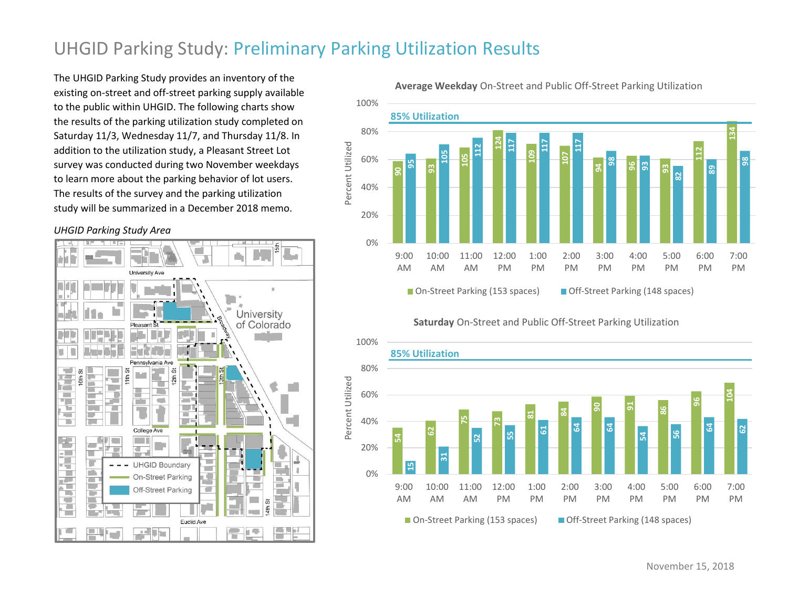## UHGID Parking Study: Preliminary Parking Utilization Results

The UHGID Parking Study provides an inventory of the existing on-street and off-street parking supply available to the public within UHGID. The following charts show the results of the parking utilization study completed on Saturday 11/3, Wednesday 11/7, and Thursday 11/8. In addition to the utilization study, a Pleasant Street Lot survey was conducted during two November weekdays to learn more about the parking behavior of lot users. The results of the survey and the parking utilization study will be summarized in a December 2018 memo.

*UHGID Parking Study Area*



**Average Weekday** On-Street and Public Off-Street Parking Utilization



**Saturday** On-Street and Public Off-Street Parking Utilization